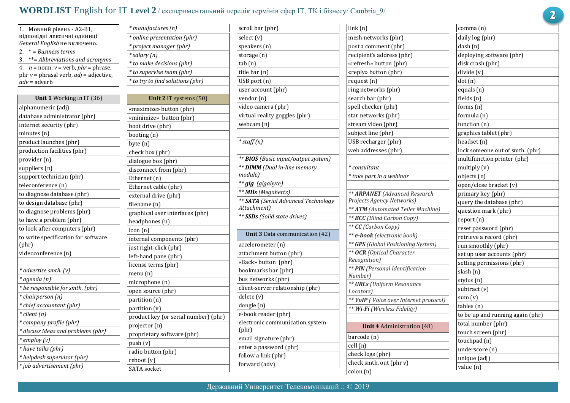## **WORDLIST** English for IT **Level 2** / експериментальний перелік термінів сфер IТ, ТК і бізнесу/ Cambria\_9/

*\* manufactures (n)*

| Мовний рівень - А2-В1,<br>1.                  |
|-----------------------------------------------|
| відповідні лексичні одиниці                   |
| General English не включено.                  |
| 2.<br>* = Business terms                      |
| **= Abbreviations and acronyms<br>3.          |
| 4.<br>$n =$ noun, $v =$ verb, $phr =$ phrase, |
| phr $v =$ phrasal verb, $adj =$ adjective,    |
| <i>adv</i> = adverb                           |
| Unit 1 Working in IT (36)                     |
| alphanumeric (adj)                            |
| database administrator (phr)                  |
| internet security (phr)                       |
| minutes (n)                                   |
| product launches (phr)                        |
| production facilities (phr)                   |
| provider (n)                                  |
| suppliers (n)                                 |
| support technician (phr)                      |
|                                               |
| teleconference (n)                            |
| to diagnose database (phr)                    |
| to design database (phr)                      |
| to diagnose problems (phr)                    |
| to have a problem (phr)                       |
| to look after computers (phr)                 |
| to write specification for software<br>(phr)  |
| videoconference (n)                           |
|                                               |
| * advertise smth. (v)                         |
| * agenda (n)                                  |
| * be responsible for smth. (phr)              |
| * chairperson (n)                             |
| * chief accountant (phr)                      |
| * client (n)                                  |
| * company profile (phr)                       |
| * discuss ideas and problems (phr)            |
| * employ (v)                                  |
| * have talks (phr)                            |
| * helpdesk supervisor (phr)                   |
| * job advertisement (phr)                     |
|                                               |

| * online presentation (phr)          |
|--------------------------------------|
| * project manager (phr)              |
| * salary (n)                         |
| * to make decisions (phr)            |
| * to supervise team (phr)            |
| * to try to find solutions (phr)     |
|                                      |
| Unit 2 IT systems (50)               |
| «maximize» button (phr)              |
| «minimize» button (phr)              |
| boot drive (phr)                     |
| booting (n)                          |
| byte (n)                             |
| check box (phr)                      |
| dialogue box (phr)                   |
| disconnect from (phr)                |
| Ethernet (n)                         |
| Ethernet cable (phr)                 |
| external drive (phr)                 |
| filename (n)                         |
| graphical user interfaces (phr)      |
| headphones (n)                       |
| icon (n)                             |
| internal components (phr)            |
| just right-click (phr)               |
| left-hand pane (phr)                 |
| license terms (phr)                  |
| menu (n)                             |
| microphone (n)                       |
| open source (phr)                    |
| partition (n)                        |
| partition (v)                        |
| product key (or serial number) (phr) |
| projector (n)                        |
| proprietary software (phr)           |
| push (v)                             |
| radio button (phr)                   |
| reboot (v)                           |
| <b>SATA</b> socket                   |

| select (v)                                         |
|----------------------------------------------------|
| speakers (n)                                       |
| storage (n)                                        |
| tab (n)                                            |
| title bar (n)                                      |
| USB port (n)                                       |
| user account (phr)                                 |
| vendor (n)                                         |
| video camera (phr)                                 |
| virtual reality goggles (phr)                      |
| webcam (n)                                         |
|                                                    |
| $*$ staff $(n)$                                    |
|                                                    |
| ** BIOS (Basic input/output system)                |
| ** DIMM (Dual in-line memory                       |
| module)                                            |
| ** gig (gigabyte)                                  |
| ** MHs (Megahertz)                                 |
| ** SATA (Serial Advanced Technology<br>Attachment) |
|                                                    |
| ** <b>SSDs</b> (Solid state drives)                |
|                                                    |
| Unit 3 Data communication (42)                     |
| accelerometer (n)                                  |
| attachment button (phr)                            |
| «Back» button (phr)                                |
| bookmarks bar (phr)                                |
| bus networks (phr)                                 |
| client-server relationship (phr)                   |
| delete (v)                                         |
| dongle (n)                                         |
| e-book reader (phr)                                |
| electronic communication system<br>(phr)           |
| email signature (phr)                              |
| enter a password (phr)                             |
| follow a link (phr)                                |

| link(n)                                         |
|-------------------------------------------------|
| mesh networks (phr)                             |
| post a comment (phr)                            |
| recipient's address (phr)                       |
| «refresh» button (phr)                          |
| «reply» button (phr)                            |
| request (n)                                     |
| ring networks (phr)                             |
| search bar (phr)                                |
| spell checker (phr)                             |
| star networks (phr)                             |
| stream video (phr)                              |
| subject line (phr)                              |
| USB recharger (phr)                             |
| web addresses (phr)                             |
|                                                 |
| * consultant                                    |
| * take part in a webinar                        |
|                                                 |
| ** ARPANET (Advanced Research                   |
| Projects Agency Networks)                       |
| ** ATM (Automated Teller Machine)               |
| ** BCC (Blind Carbon Copy)                      |
| ** CC (Carbon Copy)                             |
| ** e-book (electronic book)                     |
| ** GPS (Global Positioning System)              |
| ** OCR (Optical Character                       |
| Recognition)<br>** PIN (Personal Identification |
| Number)                                         |
| ** URLs (Uniform Resonance                      |
| Locators)                                       |
| ** VoIP (Voice over Internet protocol)          |
| ** Wi-Fi (Wireless Fidelity)                    |
|                                                 |
| <b>Unit 4 Administration (48)</b>               |
| barcode (n)                                     |
| cell (n)                                        |
| check logs (phr)                                |
| check smth. out (phr v)                         |
| colon (n)                                       |

| comma (n)                        |
|----------------------------------|
| daily log (phr)                  |
| dash (n)                         |
| deploying software (phr)         |
| disk crash (phr)                 |
| divide (v)                       |
| dot (n)                          |
| equals (n)                       |
| fields (n)                       |
| forms (n)                        |
| formula (n)                      |
| function (n)                     |
| graphics tablet (phr)            |
| headset (n)                      |
| lock someone out of smth. (phr)  |
| multifunction printer (phr)      |
| multiply (v)                     |
| objects (n)                      |
| open/close bracket (v)           |
| primary key (phr)                |
| query the database (phr)         |
| question mark (phr)              |
| report (n)                       |
| reset password (phr)             |
| retrieve a record (phr)          |
| run smoothly (phr)               |
| set up user accounts (phr)       |
| setting permissions (phr)        |
| slash (n)                        |
| stylus (n)                       |
| subtract (v)                     |
| sum (v)                          |
| tables (n)                       |
| to be up and running again (phr) |
| total number (phr)               |
| touch screen (phr)               |
| touchpad (n)                     |
| underscore (n)                   |
| unique (adj)                     |
| value (n)                        |

 $\overline{2}$